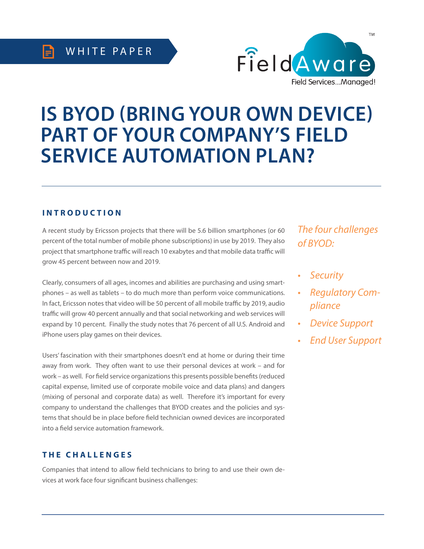

# **IS BYOD (BRING YOUR OWN DEVICE) PART OF YOUR COMPANY'S FIELD SERVICE AUTOMATION PLAN?**

## **INTRODUCTION**

A recent study by Ericsson projects that there will be 5.6 billion smartphones (or 60 percent of the total number of mobile phone subscriptions) in use by 2019. They also project that smartphone traffic will reach 10 exabytes and that mobile data traffic will grow 45 percent between now and 2019.

Clearly, consumers of all ages, incomes and abilities are purchasing and using smartphones – as well as tablets – to do much more than perform voice communications. In fact, Ericsson notes that video will be 50 percent of all mobile traffic by 2019, audio traffic will grow 40 percent annually and that social networking and web services will expand by 10 percent. Finally the study notes that 76 percent of all U.S. Android and iPhone users play games on their devices.

Users' fascination with their smartphones doesn't end at home or during their time away from work. They often want to use their personal devices at work – and for work – as well. For field service organizations this presents possible benefits (reduced capital expense, limited use of corporate mobile voice and data plans) and dangers (mixing of personal and corporate data) as well. Therefore it's important for every company to understand the challenges that BYOD creates and the policies and systems that should be in place before field technician owned devices are incorporated into a field service automation framework.

#### **THE CHALLENGES**

Companies that intend to allow field technicians to bring to and use their own devices at work face four significant business challenges:

*The four challenges of BYOD:*

- *• Security*
- *• Regulatory Compliance*
- *• Device Support*
- *• End User Support*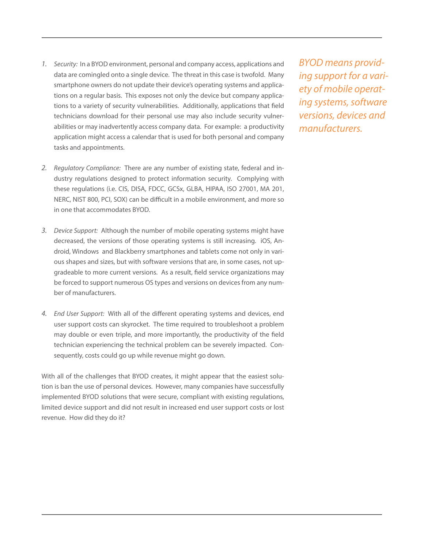- *1. Security:* In a BYOD environment, personal and company access, applications and data are comingled onto a single device. The threat in this case is twofold. Many smartphone owners do not update their device's operating systems and applications on a regular basis. This exposes not only the device but company applications to a variety of security vulnerabilities. Additionally, applications that field technicians download for their personal use may also include security vulnerabilities or may inadvertently access company data. For example: a productivity application might access a calendar that is used for both personal and company tasks and appointments.
- *2. Regulatory Compliance:* There are any number of existing state, federal and industry regulations designed to protect information security. Complying with these regulations (i.e. CIS, DISA, FDCC, GCSx, GLBA, HIPAA, ISO 27001, MA 201, NERC, NIST 800, PCI, SOX) can be difficult in a mobile environment, and more so in one that accommodates BYOD.
- *3. Device Support:* Although the number of mobile operating systems might have decreased, the versions of those operating systems is still increasing. iOS, Android, Windows and Blackberry smartphones and tablets come not only in various shapes and sizes, but with software versions that are, in some cases, not upgradeable to more current versions. As a result, field service organizations may be forced to support numerous OS types and versions on devices from any number of manufacturers.
- *4. End User Support:* With all of the different operating systems and devices, end user support costs can skyrocket. The time required to troubleshoot a problem may double or even triple, and more importantly, the productivity of the field technician experiencing the technical problem can be severely impacted. Consequently, costs could go up while revenue might go down.

With all of the challenges that BYOD creates, it might appear that the easiest solution is ban the use of personal devices. However, many companies have successfully implemented BYOD solutions that were secure, compliant with existing regulations, limited device support and did not result in increased end user support costs or lost revenue. How did they do it?

*BYOD means providing support for a variety of mobile operating systems, software versions, devices and manufacturers.*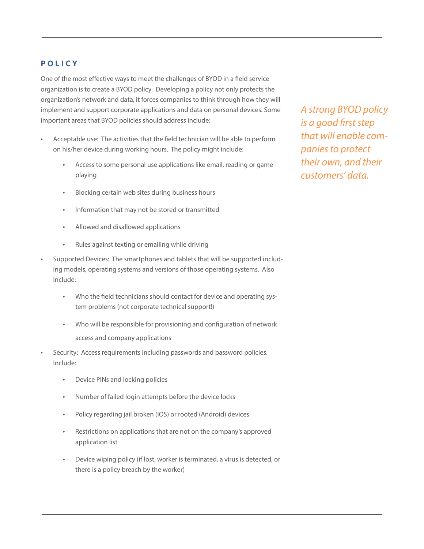# **POLICY**

One of the most effective ways to meet the challenges of BYOD in a field service organization is to create a BYOD policy. Developing a policy not only protects the organization's network and data, it forces companies to think through how they will implement and support corporate applications and data on personal devices. Some important areas that BYOD policies should address include:

- Acceptable use: The activities that the field technician will be able to perform on his/her device during working hours. The policy might include:
	- Access to some personal use applications like email, reading or game playing
	- Blocking certain web sites during business hours
	- Information that may not be stored or transmitted
	- Allowed and disallowed applications
	- Rules against texting or emailing while driving
- Supported Devices: The smartphones and tablets that will be supported including models, operating systems and versions of those operating systems. Also include:
	- Who the field technicians should contact for device and operating system problems (not corporate technical support!)
	- Who will be responsible for provisioning and configuration of network access and company applications
- Security: Access requirements including passwords and password policies. Include:
	- Device PINs and locking policies
	- Number of failed login attempts before the device locks
	- Policy regarding jail broken (iOS) or rooted (Android) devices
	- Restrictions on applications that are not on the company's approved application list
	- Device wiping policy (if lost, worker is terminated, a virus is detected, or there is a policy breach by the worker)

*A strong BYOD policy is a good first step that will enable companies to protect their own, and their customers' data.*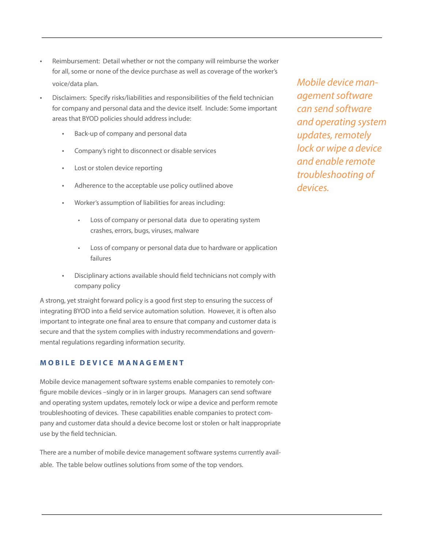- Reimbursement: Detail whether or not the company will reimburse the worker for all, some or none of the device purchase as well as coverage of the worker's voice/data plan.
- Disclaimers: Specify risks/liabilities and responsibilities of the field technician for company and personal data and the device itself. Include: Some important areas that BYOD policies should address include:
	- Back-up of company and personal data
	- Company's right to disconnect or disable services
	- Lost or stolen device reporting
	- Adherence to the acceptable use policy outlined above
	- Worker's assumption of liabilities for areas including:
		- Loss of company or personal data due to operating system crashes, errors, bugs, viruses, malware
		- Loss of company or personal data due to hardware or application failures
	- Disciplinary actions available should field technicians not comply with company policy

A strong, yet straight forward policy is a good first step to ensuring the success of integrating BYOD into a field service automation solution. However, it is often also important to integrate one final area to ensure that company and customer data is secure and that the system complies with industry recommendations and governmental regulations regarding information security.

#### **MOBILE DEVICE MANAGEMENT**

Mobile device management software systems enable companies to remotely configure mobile devices –singly or in in larger groups. Managers can send software and operating system updates, remotely lock or wipe a device and perform remote troubleshooting of devices. These capabilities enable companies to protect company and customer data should a device become lost or stolen or halt inappropriate use by the field technician.

There are a number of mobile device management software systems currently available. The table below outlines solutions from some of the top vendors.

*Mobile device management software can send software and operating system updates, remotely lock or wipe a device and enable remote troubleshooting of devices.*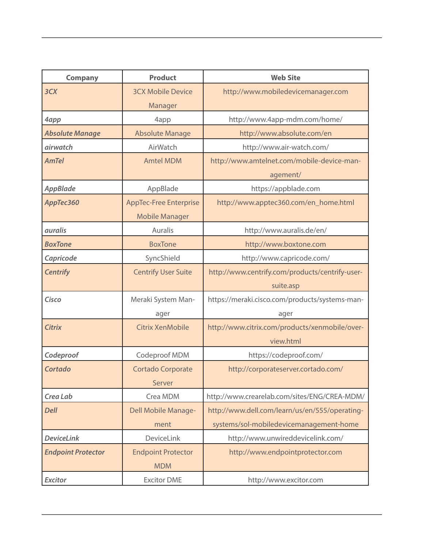| <b>Company</b>            | <b>Product</b>                | <b>Web Site</b>                                 |
|---------------------------|-------------------------------|-------------------------------------------------|
| 3 <sub>cx</sub>           | <b>3CX Mobile Device</b>      | http://www.mobiledevicemanager.com              |
|                           | Manager                       |                                                 |
| 4app                      | 4app                          | http://www.4app-mdm.com/home/                   |
| <b>Absolute Manage</b>    | <b>Absolute Manage</b>        | http://www.absolute.com/en                      |
| airwatch                  | AirWatch                      | http://www.air-watch.com/                       |
| <b>AmTel</b>              | <b>Amtel MDM</b>              | http://www.amtelnet.com/mobile-device-man-      |
|                           |                               | agement/                                        |
| AppBlade                  | AppBlade                      | https://appblade.com                            |
| АррТес360                 | <b>AppTec-Free Enterprise</b> | http://www.apptec360.com/en_home.html           |
|                           | <b>Mobile Manager</b>         |                                                 |
| <i>auralis</i>            | Auralis                       | http://www.auralis.de/en/                       |
| <b>BoxTone</b>            | <b>BoxTone</b>                | http://www.boxtone.com                          |
| Capricode                 | SyncShield                    | http://www.capricode.com/                       |
| <b>Centrify</b>           | <b>Centrify User Suite</b>    | http://www.centrify.com/products/centrify-user- |
|                           |                               | suite.asp                                       |
| Cisco                     | Meraki System Man-            | https://meraki.cisco.com/products/systems-man-  |
|                           | ager                          | ager                                            |
| <b>Citrix</b>             | <b>Citrix XenMobile</b>       | http://www.citrix.com/products/xenmobile/over-  |
|                           |                               | view.html                                       |
| Codeproof                 | Codeproof MDM                 | https://codeproof.com/                          |
| Cortado                   | Cortado Corporate             | http://corporateserver.cortado.com/             |
|                           | Server                        |                                                 |
| Crea Lab                  | Crea MDM                      | http://www.crearelab.com/sites/ENG/CREA-MDM/    |
| <b>Dell</b>               | <b>Dell Mobile Manage-</b>    | http://www.dell.com/learn/us/en/555/operating-  |
|                           | ment                          | systems/sol-mobiledevicemanagement-home         |
| <b>DeviceLink</b>         | DeviceLink                    | http://www.unwireddevicelink.com/               |
| <b>Endpoint Protector</b> | <b>Endpoint Protector</b>     | http://www.endpointprotector.com                |
|                           | <b>MDM</b>                    |                                                 |
| <b>Excitor</b>            | <b>Excitor DME</b>            | http://www.excitor.com                          |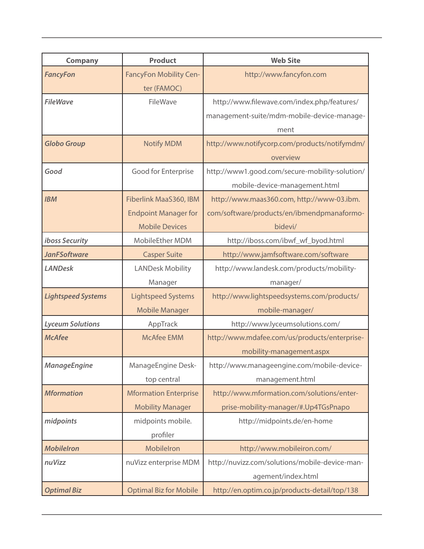| <b>Company</b>            | <b>Product</b>                | <b>Web Site</b>                                |
|---------------------------|-------------------------------|------------------------------------------------|
| <b>FancyFon</b>           | <b>FancyFon Mobility Cen-</b> | http://www.fancyfon.com                        |
|                           | ter (FAMOC)                   |                                                |
| <b>FileWave</b>           | FileWave                      | http://www.filewave.com/index.php/features/    |
|                           |                               | management-suite/mdm-mobile-device-manage-     |
|                           |                               | ment                                           |
| <b>Globo Group</b>        | <b>Notify MDM</b>             | http://www.notifycorp.com/products/notifymdm/  |
|                           |                               | overview                                       |
| Good                      | Good for Enterprise           | http://www1.good.com/secure-mobility-solution/ |
|                           |                               | mobile-device-management.html                  |
| <b>IBM</b>                | Fiberlink MaaS360, IBM        | http://www.maas360.com, http://www-03.ibm.     |
|                           | <b>Endpoint Manager for</b>   | com/software/products/en/ibmendpmanaformo-     |
|                           | <b>Mobile Devices</b>         | bidevi/                                        |
| iboss Security            | MobileEther MDM               | http://iboss.com/ibwf_wf_byod.html             |
| <b>JanFSoftware</b>       | <b>Casper Suite</b>           | http://www.jamfsoftware.com/software           |
| <b>LANDesk</b>            | <b>LANDesk Mobility</b>       | http://www.landesk.com/products/mobility-      |
|                           | Manager                       | manager/                                       |
| <b>Lightspeed Systems</b> | <b>Lightspeed Systems</b>     | http://www.lightspeedsystems.com/products/     |
|                           | <b>Mobile Manager</b>         | mobile-manager/                                |
| <b>Lyceum Solutions</b>   | AppTrack                      | http://www.lyceumsolutions.com/                |
| <b>McAfee</b>             | <b>McAfee EMM</b>             | http://www.mdafee.com/us/products/enterprise-  |
|                           |                               | mobility-management.aspx                       |
| <b>ManageEngine</b>       | ManageEngine Desk-            | http://www.manageengine.com/mobile-device-     |
|                           | top central                   | management.html                                |
| <b>Mformation</b>         | <b>Mformation Enterprise</b>  | http://www.mformation.com/solutions/enter-     |
|                           | <b>Mobility Manager</b>       | prise-mobility-manager/#.Up4TGsPnapo           |
| midpoints                 | midpoints mobile.             | http://midpoints.de/en-home                    |
|                           | profiler                      |                                                |
| <b>MobileIron</b>         | Mobilelron                    | http://www.mobileiron.com/                     |
| nuVizz                    | nuVizz enterprise MDM         | http://nuvizz.com/solutions/mobile-device-man- |
|                           |                               | agement/index.html                             |
| <b>Optimal Biz</b>        | <b>Optimal Biz for Mobile</b> | http://en.optim.co.jp/products-detail/top/138  |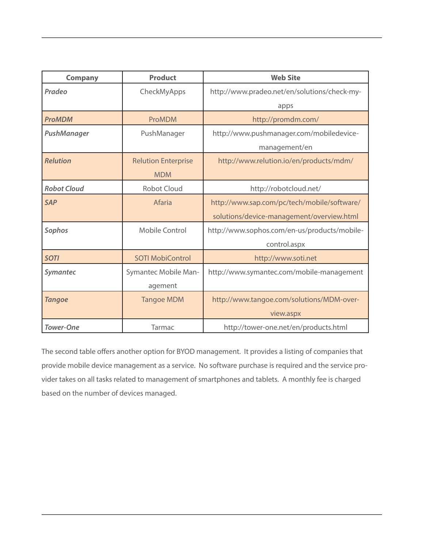| <b>Company</b>     | <b>Product</b>             | <b>Web Site</b>                              |
|--------------------|----------------------------|----------------------------------------------|
| Pradeo             | CheckMyApps                | http://www.pradeo.net/en/solutions/check-my- |
|                    |                            | apps                                         |
| <b>ProMDM</b>      | ProMDM                     | http://promdm.com/                           |
| PushManager        | PushManager                | http://www.pushmanager.com/mobiledevice-     |
|                    |                            | management/en                                |
| <b>Relution</b>    | <b>Relution Enterprise</b> | http://www.relution.io/en/products/mdm/      |
|                    | <b>MDM</b>                 |                                              |
| <b>Robot Cloud</b> | <b>Robot Cloud</b>         | http://robotcloud.net/                       |
| <b>SAP</b>         | Afaria                     | http://www.sap.com/pc/tech/mobile/software/  |
|                    |                            | solutions/device-management/overview.html    |
| Sophos             | Mobile Control             | http://www.sophos.com/en-us/products/mobile- |
|                    |                            | control.aspx                                 |
| <b>SOTI</b>        | <b>SOTI MobiControl</b>    | http://www.soti.net                          |
| <b>Symantec</b>    | Symantec Mobile Man-       | http://www.symantec.com/mobile-management    |
|                    | agement                    |                                              |
| <b>Tangoe</b>      | <b>Tangoe MDM</b>          | http://www.tangoe.com/solutions/MDM-over-    |
|                    |                            | view.aspx                                    |
| <b>Tower-One</b>   | Tarmac                     | http://tower-one.net/en/products.html        |

The second table offers another option for BYOD management. It provides a listing of companies that provide mobile device management as a service. No software purchase is required and the service provider takes on all tasks related to management of smartphones and tablets. A monthly fee is charged based on the number of devices managed.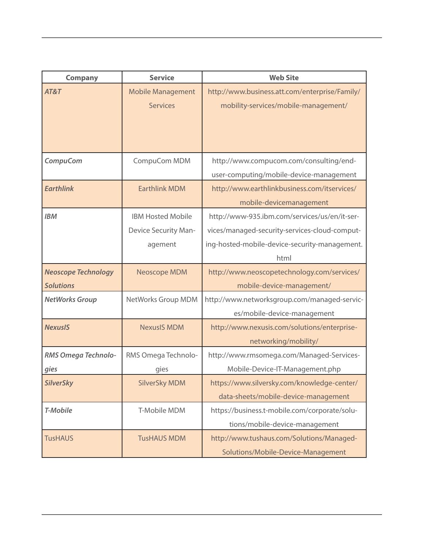| <b>Company</b>             | <b>Service</b>              | <b>Web Site</b>                                |
|----------------------------|-----------------------------|------------------------------------------------|
| AT&T                       | <b>Mobile Management</b>    | http://www.business.att.com/enterprise/Family/ |
|                            | <b>Services</b>             | mobility-services/mobile-management/           |
|                            |                             |                                                |
|                            |                             |                                                |
| <b>CompuCom</b>            | CompuCom MDM                | http://www.compucom.com/consulting/end-        |
|                            |                             | user-computing/mobile-device-management        |
| <b>Earthlink</b>           | <b>Earthlink MDM</b>        | http://www.earthlinkbusiness.com/itservices/   |
|                            |                             | mobile-devicemanagement                        |
| <b>IBM</b>                 | <b>IBM Hosted Mobile</b>    | http://www-935.ibm.com/services/us/en/it-ser-  |
|                            | <b>Device Security Man-</b> | vices/managed-security-services-cloud-comput-  |
|                            | agement                     | ing-hosted-mobile-device-security-management.  |
|                            |                             | html                                           |
| <b>Neoscope Technology</b> | Neoscope MDM                | http://www.neoscopetechnology.com/services/    |
| <b>Solutions</b>           |                             | mobile-device-management/                      |
| <b>NetWorks Group</b>      | NetWorks Group MDM          | http://www.networksgroup.com/managed-servic-   |
|                            |                             | es/mobile-device-management                    |
| <b>NexusIS</b>             | <b>NexusIS MDM</b>          | http://www.nexusis.com/solutions/enterprise-   |
|                            |                             | networking/mobility/                           |
| RMS Omega Technolo-        | RMS Omega Technolo-         | http://www.rmsomega.com/Managed-Services-      |
| gies                       | gies                        | Mobile-Device-IT-Management.php                |
| <b>SilverSky</b>           | <b>SilverSky MDM</b>        | https://www.silversky.com/knowledge-center/    |
|                            |                             | data-sheets/mobile-device-management           |
| T-Mobile                   | T-Mobile MDM                | https://business.t-mobile.com/corporate/solu-  |
|                            |                             | tions/mobile-device-management                 |
| <b>TusHAUS</b>             | <b>TusHAUS MDM</b>          | http://www.tushaus.com/Solutions/Managed-      |
|                            |                             | Solutions/Mobile-Device-Management             |